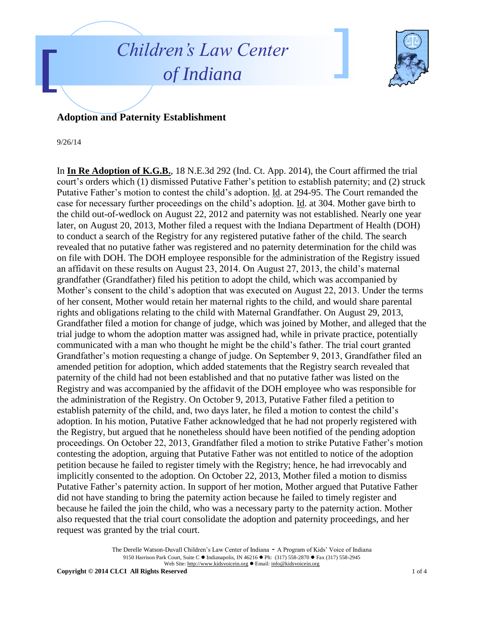



## **Adoption and Paternity Establishment**

9/26/14

In **In Re Adoption of K.G.B.**, 18 N.E.3d 292 (Ind. Ct. App. 2014), the Court affirmed the trial court's orders which (1) dismissed Putative Father's petition to establish paternity; and (2) struck Putative Father's motion to contest the child's adoption. Id. at 294-95. The Court remanded the case for necessary further proceedings on the child's adoption. Id. at 304. Mother gave birth to the child out-of-wedlock on August 22, 2012 and paternity was not established. Nearly one year later, on August 20, 2013, Mother filed a request with the Indiana Department of Health (DOH) to conduct a search of the Registry for any registered putative father of the child. The search revealed that no putative father was registered and no paternity determination for the child was on file with DOH. The DOH employee responsible for the administration of the Registry issued an affidavit on these results on August 23, 2014. On August 27, 2013, the child's maternal grandfather (Grandfather) filed his petition to adopt the child, which was accompanied by Mother's consent to the child's adoption that was executed on August 22, 2013. Under the terms of her consent, Mother would retain her maternal rights to the child, and would share parental rights and obligations relating to the child with Maternal Grandfather. On August 29, 2013, Grandfather filed a motion for change of judge, which was joined by Mother, and alleged that the trial judge to whom the adoption matter was assigned had, while in private practice, potentially communicated with a man who thought he might be the child's father. The trial court granted Grandfather's motion requesting a change of judge. On September 9, 2013, Grandfather filed an amended petition for adoption, which added statements that the Registry search revealed that paternity of the child had not been established and that no putative father was listed on the Registry and was accompanied by the affidavit of the DOH employee who was responsible for the administration of the Registry. On October 9, 2013, Putative Father filed a petition to establish paternity of the child, and, two days later, he filed a motion to contest the child's adoption. In his motion, Putative Father acknowledged that he had not properly registered with the Registry, but argued that he nonetheless should have been notified of the pending adoption proceedings. On October 22, 2013, Grandfather filed a motion to strike Putative Father's motion contesting the adoption, arguing that Putative Father was not entitled to notice of the adoption petition because he failed to register timely with the Registry; hence, he had irrevocably and implicitly consented to the adoption. On October 22, 2013, Mother filed a motion to dismiss Putative Father's paternity action. In support of her motion, Mother argued that Putative Father did not have standing to bring the paternity action because he failed to timely register and because he failed the join the child, who was a necessary party to the paternity action. Mother also requested that the trial court consolidate the adoption and paternity proceedings, and her request was granted by the trial court.

The Derelle Watson-Duvall Children's Law Center of Indiana - A Program of Kids' Voice of Indiana 9150 Harrison Park Court, Suite C · Indianapolis, IN 46216 · Ph: (317) 558-2870 · Fax (317) 558-2945 Web Site: http://www.kidsvoicein.org · Email: info@kidsvoicein.org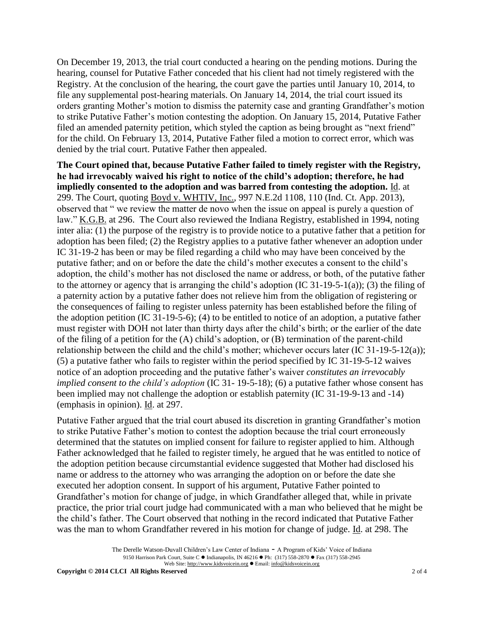On December 19, 2013, the trial court conducted a hearing on the pending motions. During the hearing, counsel for Putative Father conceded that his client had not timely registered with the Registry. At the conclusion of the hearing, the court gave the parties until January 10, 2014, to file any supplemental post-hearing materials. On January 14, 2014, the trial court issued its orders granting Mother's motion to dismiss the paternity case and granting Grandfather's motion to strike Putative Father's motion contesting the adoption. On January 15, 2014, Putative Father filed an amended paternity petition, which styled the caption as being brought as "next friend" for the child. On February 13, 2014, Putative Father filed a motion to correct error, which was denied by the trial court. Putative Father then appealed.

**The Court opined that, because Putative Father failed to timely register with the Registry, he had irrevocably waived his right to notice of the child's adoption; therefore, he had impliedly consented to the adoption and was barred from contesting the adoption.** Id. at 299. The Court, quoting Boyd v. WHTIV, Inc., 997 N.E.2d 1108, 110 (Ind. Ct. App. 2013), observed that " we review the matter de novo when the issue on appeal is purely a question of law." K.G.B. at 296. The Court also reviewed the Indiana Registry, established in 1994, noting inter alia: (1) the purpose of the registry is to provide notice to a putative father that a petition for adoption has been filed; (2) the Registry applies to a putative father whenever an adoption under IC 31-19-2 has been or may be filed regarding a child who may have been conceived by the putative father; and on or before the date the child's mother executes a consent to the child's adoption, the child's mother has not disclosed the name or address, or both, of the putative father to the attorney or agency that is arranging the child's adoption (IC 31-19-5-1(a)); (3) the filing of a paternity action by a putative father does not relieve him from the obligation of registering or the consequences of failing to register unless paternity has been established before the filing of the adoption petition (IC 31-19-5-6); (4) to be entitled to notice of an adoption, a putative father must register with DOH not later than thirty days after the child's birth; or the earlier of the date of the filing of a petition for the (A) child's adoption, or (B) termination of the parent-child relationship between the child and the child's mother; whichever occurs later (IC 31-19-5-12(a)); (5) a putative father who fails to register within the period specified by IC 31-19-5-12 waives notice of an adoption proceeding and the putative father's waiver *constitutes an irrevocably implied consent to the child's adoption* (IC 31- 19-5-18); (6) a putative father whose consent has been implied may not challenge the adoption or establish paternity (IC 31-19-9-13 and -14) (emphasis in opinion). Id. at 297.

Putative Father argued that the trial court abused its discretion in granting Grandfather's motion to strike Putative Father's motion to contest the adoption because the trial court erroneously determined that the statutes on implied consent for failure to register applied to him. Although Father acknowledged that he failed to register timely, he argued that he was entitled to notice of the adoption petition because circumstantial evidence suggested that Mother had disclosed his name or address to the attorney who was arranging the adoption on or before the date she executed her adoption consent. In support of his argument, Putative Father pointed to Grandfather's motion for change of judge, in which Grandfather alleged that, while in private practice, the prior trial court judge had communicated with a man who believed that he might be the child's father. The Court observed that nothing in the record indicated that Putative Father was the man to whom Grandfather revered in his motion for change of judge. Id. at 298. The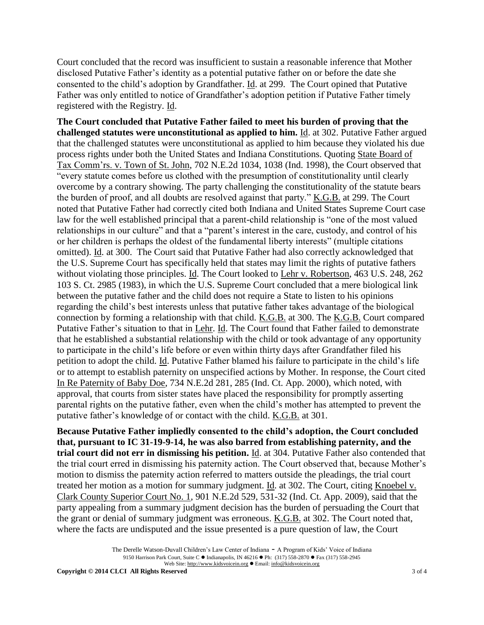Court concluded that the record was insufficient to sustain a reasonable inference that Mother disclosed Putative Father's identity as a potential putative father on or before the date she consented to the child's adoption by Grandfather. Id. at 299. The Court opined that Putative Father was only entitled to notice of Grandfather's adoption petition if Putative Father timely registered with the Registry. Id.

**The Court concluded that Putative Father failed to meet his burden of proving that the challenged statutes were unconstitutional as applied to him.** Id. at 302. Putative Father argued that the challenged statutes were unconstitutional as applied to him because they violated his due process rights under both the United States and Indiana Constitutions. Quoting State Board of Tax Comm'rs. v. Town of St. John, 702 N.E.2d 1034, 1038 (Ind. 1998), the Court observed that "every statute comes before us clothed with the presumption of constitutionality until clearly overcome by a contrary showing. The party challenging the constitutionality of the statute bears the burden of proof, and all doubts are resolved against that party." K.G.B. at 299. The Court noted that Putative Father had correctly cited both Indiana and United States Supreme Court case law for the well established principal that a parent-child relationship is "one of the most valued relationships in our culture" and that a "parent's interest in the care, custody, and control of his or her children is perhaps the oldest of the fundamental liberty interests" (multiple citations omitted). Id. at 300. The Court said that Putative Father had also correctly acknowledged that the U.S. Supreme Court has specifically held that states may limit the rights of putative fathers without violating those principles. Id. The Court looked to Lehr v. Robertson, 463 U.S. 248, 262 103 S. Ct. 2985 (1983), in which the U.S. Supreme Court concluded that a mere biological link between the putative father and the child does not require a State to listen to his opinions regarding the child's best interests unless that putative father takes advantage of the biological connection by forming a relationship with that child. K.G.B. at 300. The K.G.B. Court compared Putative Father's situation to that in Lehr. Id. The Court found that Father failed to demonstrate that he established a substantial relationship with the child or took advantage of any opportunity to participate in the child's life before or even within thirty days after Grandfather filed his petition to adopt the child. Id. Putative Father blamed his failure to participate in the child's life or to attempt to establish paternity on unspecified actions by Mother. In response, the Court cited In Re Paternity of Baby Doe, 734 N.E.2d 281, 285 (Ind. Ct. App. 2000), which noted, with approval, that courts from sister states have placed the responsibility for promptly asserting parental rights on the putative father, even when the child's mother has attempted to prevent the putative father's knowledge of or contact with the child. K.G.B. at 301.

**Because Putative Father impliedly consented to the child's adoption, the Court concluded that, pursuant to IC 31-19-9-14, he was also barred from establishing paternity, and the trial court did not err in dismissing his petition.** Id. at 304. Putative Father also contended that the trial court erred in dismissing his paternity action. The Court observed that, because Mother's motion to dismiss the paternity action referred to matters outside the pleadings, the trial court treated her motion as a motion for summary judgment. Id. at 302. The Court, citing Knoebel v. Clark County Superior Court No. 1, 901 N.E.2d 529, 531-32 (Ind. Ct. App. 2009), said that the party appealing from a summary judgment decision has the burden of persuading the Court that the grant or denial of summary judgment was erroneous. K.G.B. at 302. The Court noted that, where the facts are undisputed and the issue presented is a pure question of law, the Court

The Derelle Watson-Duvall Children's Law Center of Indiana - A Program of Kids' Voice of Indiana 9150 Harrison Park Court, Suite C · Indianapolis, IN 46216 · Ph: (317) 558-2870 · Fax (317) 558-2945 Web Site: http://www.kidsvoicein.org · Email: info@kidsvoicein.org